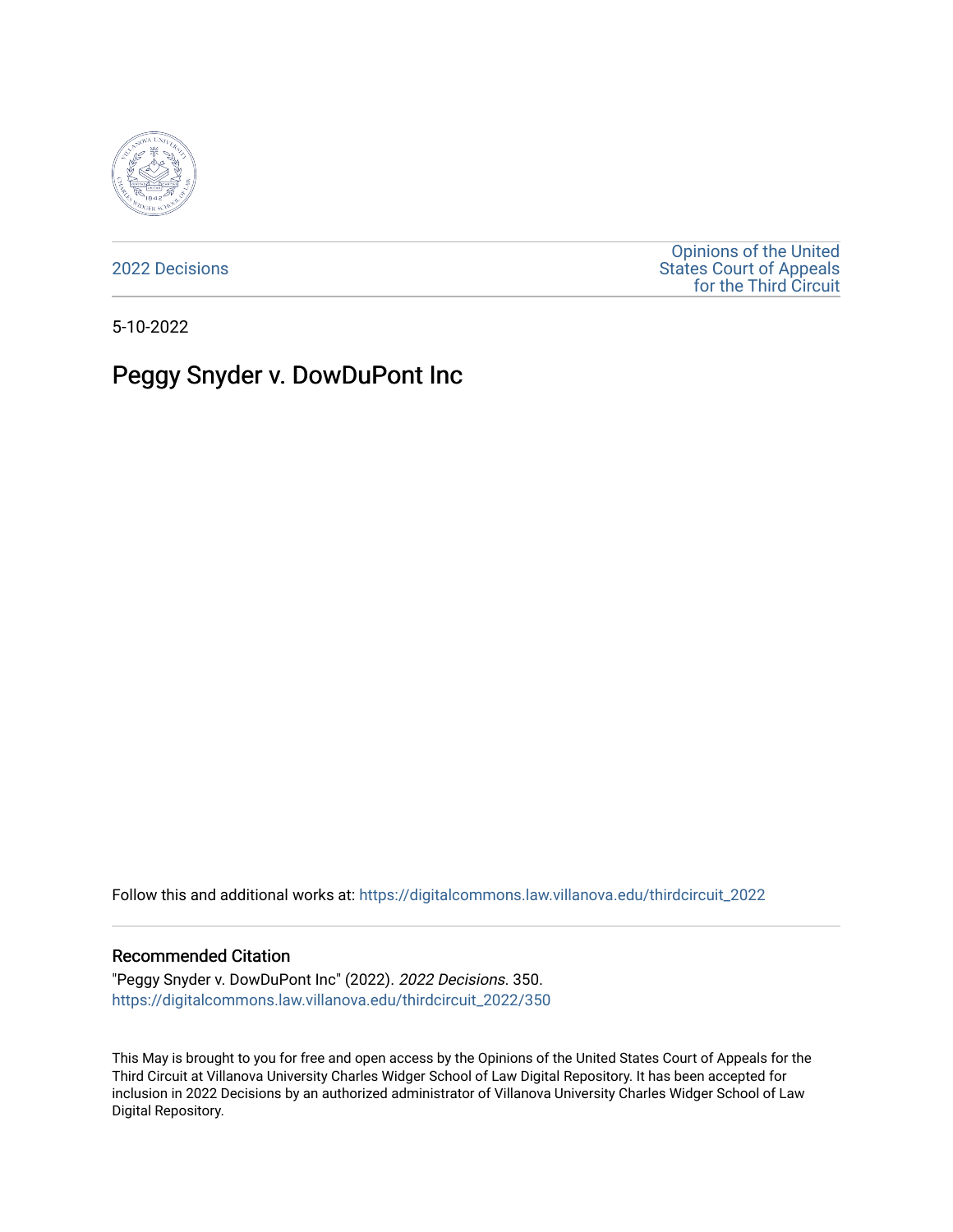

[2022 Decisions](https://digitalcommons.law.villanova.edu/thirdcircuit_2022)

[Opinions of the United](https://digitalcommons.law.villanova.edu/thirdcircuit)  [States Court of Appeals](https://digitalcommons.law.villanova.edu/thirdcircuit)  [for the Third Circuit](https://digitalcommons.law.villanova.edu/thirdcircuit) 

5-10-2022

# Peggy Snyder v. DowDuPont Inc

Follow this and additional works at: [https://digitalcommons.law.villanova.edu/thirdcircuit\\_2022](https://digitalcommons.law.villanova.edu/thirdcircuit_2022?utm_source=digitalcommons.law.villanova.edu%2Fthirdcircuit_2022%2F350&utm_medium=PDF&utm_campaign=PDFCoverPages) 

#### Recommended Citation

"Peggy Snyder v. DowDuPont Inc" (2022). 2022 Decisions. 350. [https://digitalcommons.law.villanova.edu/thirdcircuit\\_2022/350](https://digitalcommons.law.villanova.edu/thirdcircuit_2022/350?utm_source=digitalcommons.law.villanova.edu%2Fthirdcircuit_2022%2F350&utm_medium=PDF&utm_campaign=PDFCoverPages)

This May is brought to you for free and open access by the Opinions of the United States Court of Appeals for the Third Circuit at Villanova University Charles Widger School of Law Digital Repository. It has been accepted for inclusion in 2022 Decisions by an authorized administrator of Villanova University Charles Widger School of Law Digital Repository.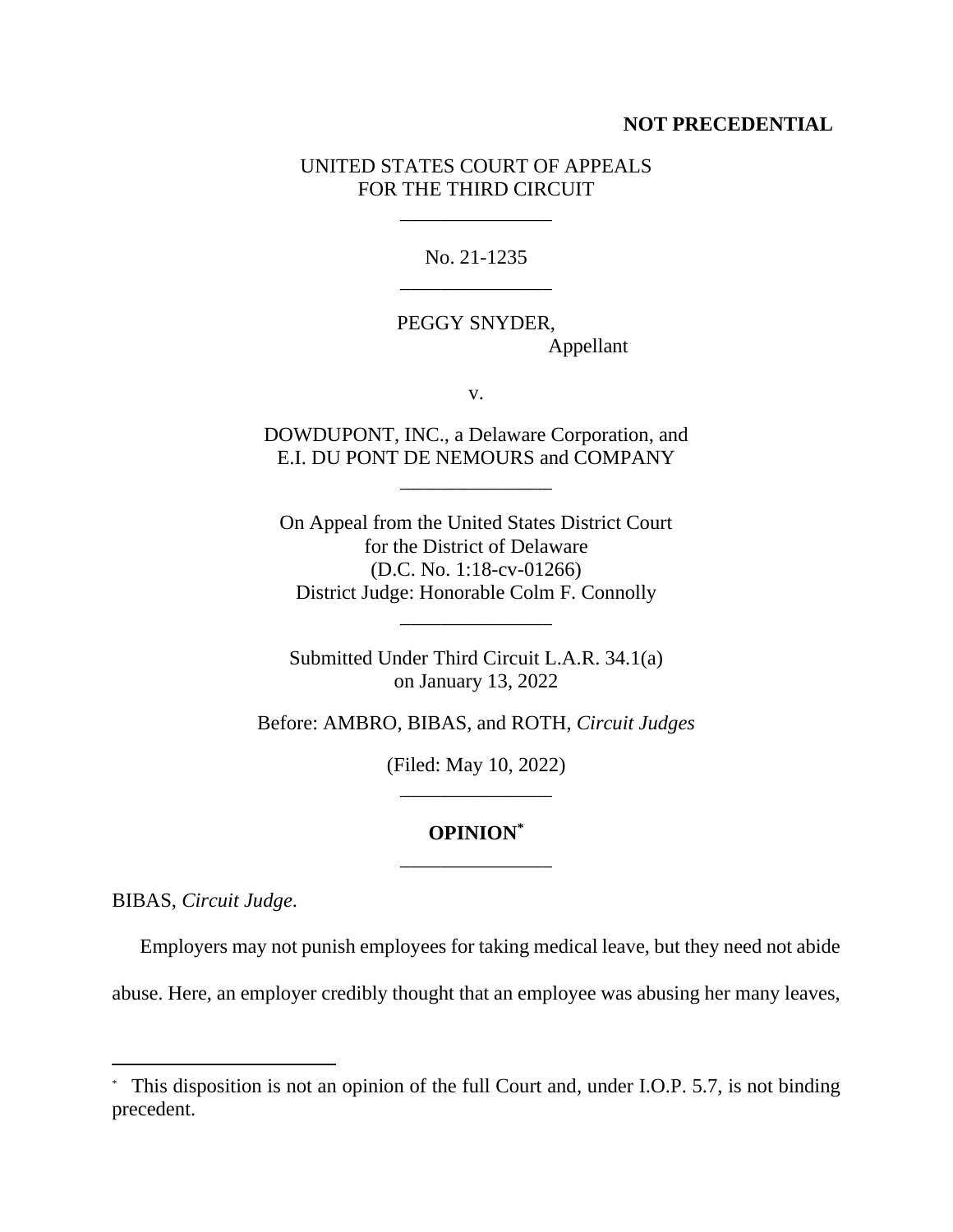# **NOT PRECEDENTIAL**

# UNITED STATES COURT OF APPEALS FOR THE THIRD CIRCUIT

\_\_\_\_\_\_\_\_\_\_\_\_\_\_\_

No. 21-1235 \_\_\_\_\_\_\_\_\_\_\_\_\_\_\_

PEGGY SNYDER, Appellant

v.

DOWDUPONT, INC., a Delaware Corporation, and E.I. DU PONT DE NEMOURS and COMPANY

\_\_\_\_\_\_\_\_\_\_\_\_\_\_\_

On Appeal from the United States District Court for the District of Delaware (D.C. No. 1:18-cv-01266) District Judge: Honorable Colm F. Connolly

Submitted Under Third Circuit L.A.R. 34.1(a) on January 13, 2022

\_\_\_\_\_\_\_\_\_\_\_\_\_\_\_

Before: AMBRO, BIBAS, and ROTH, *Circuit Judges*

(Filed: May 10, 2022) \_\_\_\_\_\_\_\_\_\_\_\_\_\_\_

# **OPINION\*** \_\_\_\_\_\_\_\_\_\_\_\_\_\_\_

BIBAS, *Circuit Judge*.

Employers may not punish employees for taking medical leave, but they need not abide

abuse. Here, an employer credibly thought that an employee was abusing her many leaves,

<sup>\*</sup> This disposition is not an opinion of the full Court and, under I.O.P. 5.7, is not binding precedent.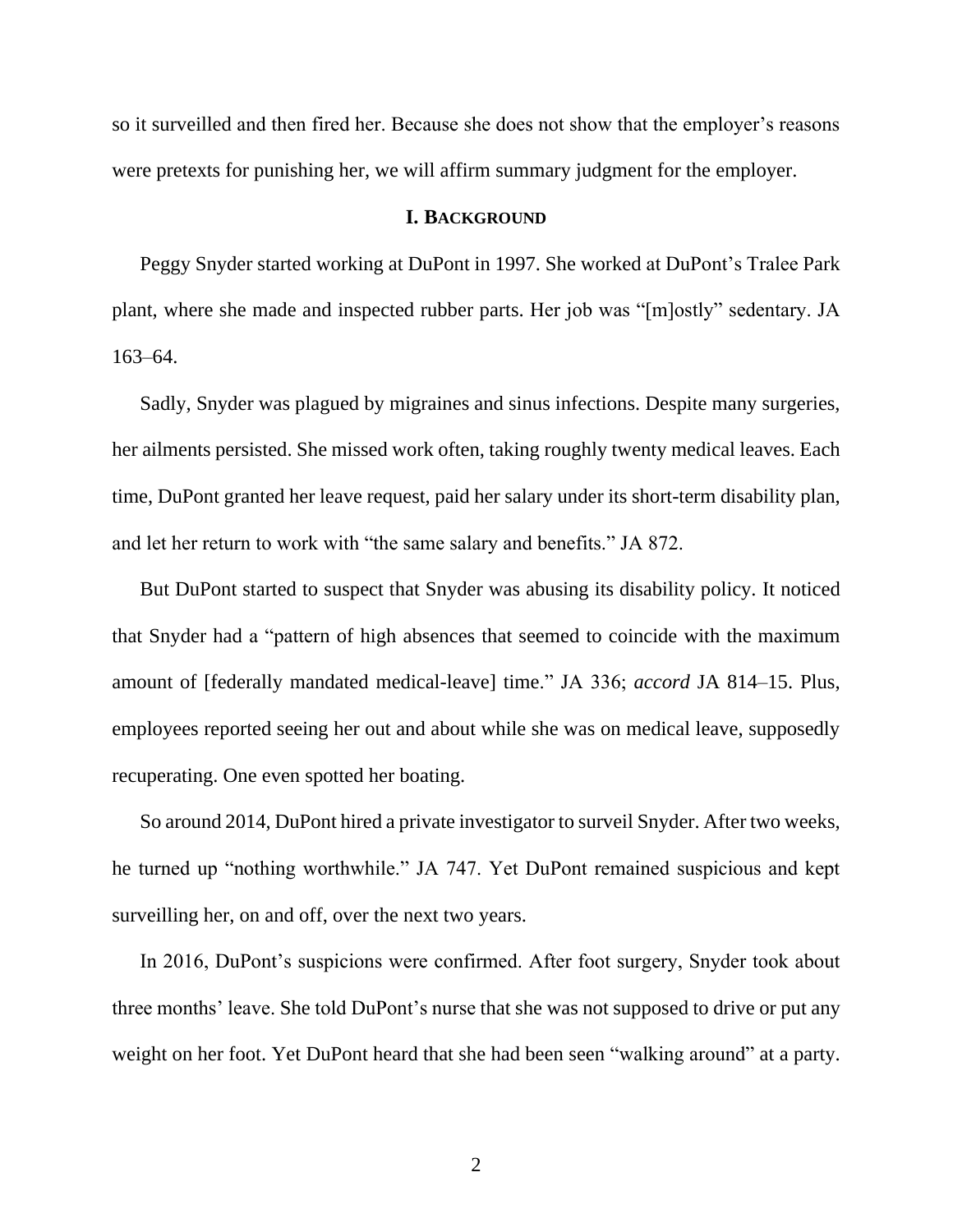so it surveilled and then fired her. Because she does not show that the employer's reasons were pretexts for punishing her, we will affirm summary judgment for the employer.

# **I. BACKGROUND**

Peggy Snyder started working at DuPont in 1997. She worked at DuPont's Tralee Park plant, where she made and inspected rubber parts. Her job was "[m]ostly" sedentary. JA 163–64.

Sadly, Snyder was plagued by migraines and sinus infections. Despite many surgeries, her ailments persisted. She missed work often, taking roughly twenty medical leaves. Each time, DuPont granted her leave request, paid her salary under its short-term disability plan, and let her return to work with "the same salary and benefits." JA 872.

But DuPont started to suspect that Snyder was abusing its disability policy. It noticed that Snyder had a "pattern of high absences that seemed to coincide with the maximum amount of [federally mandated medical-leave] time." JA 336; *accord* JA 814–15. Plus, employees reported seeing her out and about while she was on medical leave, supposedly recuperating. One even spotted her boating.

So around 2014, DuPont hired a private investigator to surveil Snyder. After two weeks, he turned up "nothing worthwhile." JA 747. Yet DuPont remained suspicious and kept surveilling her, on and off, over the next two years.

In 2016, DuPont's suspicions were confirmed. After foot surgery, Snyder took about three months' leave. She told DuPont's nurse that she was not supposed to drive or put any weight on her foot. Yet DuPont heard that she had been seen "walking around" at a party.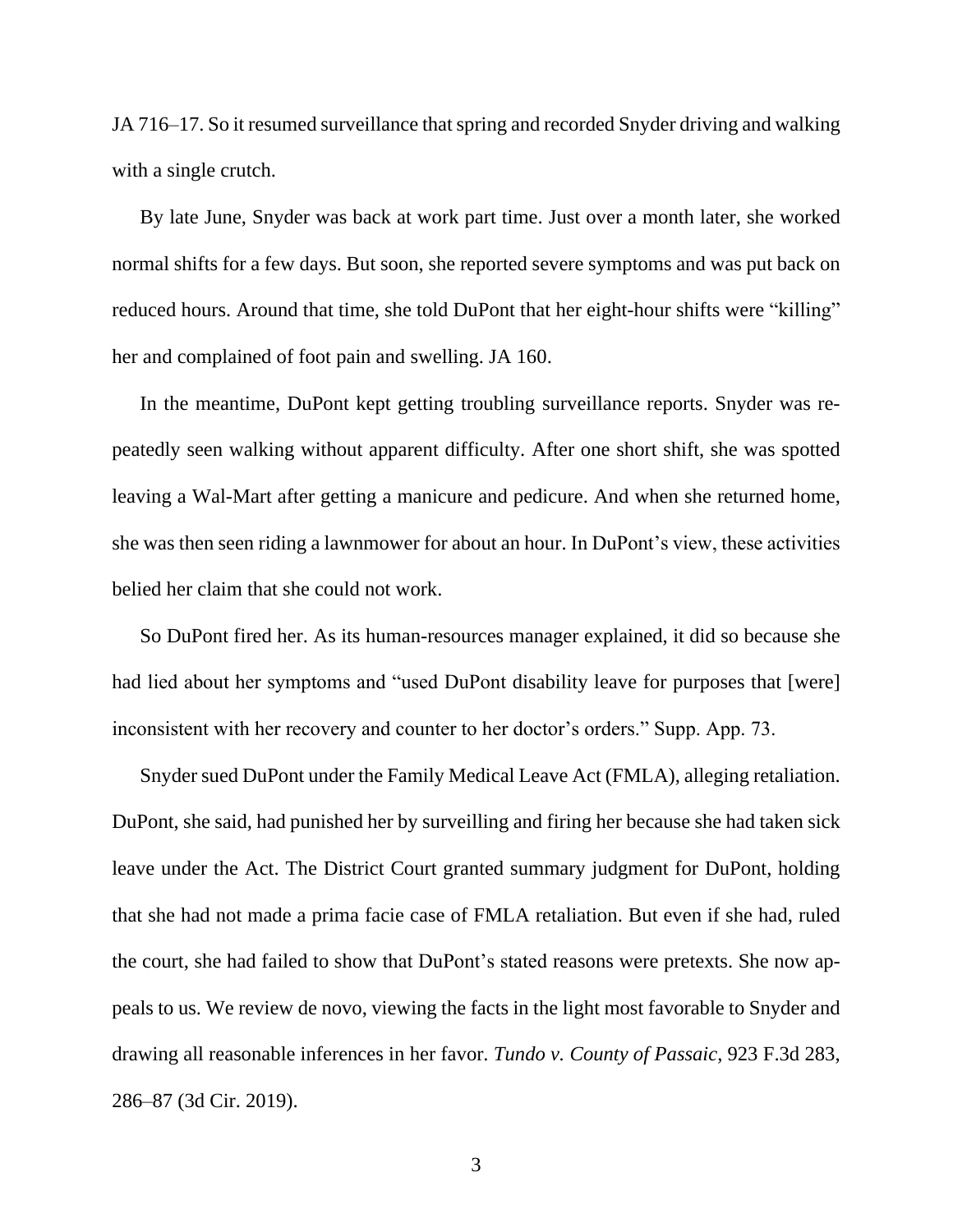JA 716–17. So it resumed surveillance that spring and recorded Snyder driving and walking with a single crutch.

By late June, Snyder was back at work part time. Just over a month later, she worked normal shifts for a few days. But soon, she reported severe symptoms and was put back on reduced hours. Around that time, she told DuPont that her eight-hour shifts were "killing" her and complained of foot pain and swelling. JA 160.

In the meantime, DuPont kept getting troubling surveillance reports. Snyder was repeatedly seen walking without apparent difficulty. After one short shift, she was spotted leaving a Wal-Mart after getting a manicure and pedicure. And when she returned home, she was then seen riding a lawnmower for about an hour. In DuPont's view, these activities belied her claim that she could not work.

So DuPont fired her. As its human-resources manager explained, it did so because she had lied about her symptoms and "used DuPont disability leave for purposes that [were] inconsistent with her recovery and counter to her doctor's orders." Supp. App. 73.

Snyder sued DuPont under the Family Medical Leave Act (FMLA), alleging retaliation. DuPont, she said, had punished her by surveilling and firing her because she had taken sick leave under the Act. The District Court granted summary judgment for DuPont, holding that she had not made a prima facie case of FMLA retaliation. But even if she had, ruled the court, she had failed to show that DuPont's stated reasons were pretexts. She now appeals to us. We review de novo, viewing the facts in the light most favorable to Snyder and drawing all reasonable inferences in her favor. *Tundo v. County of Passaic*, 923 F.3d 283, 286–87 (3d Cir. 2019).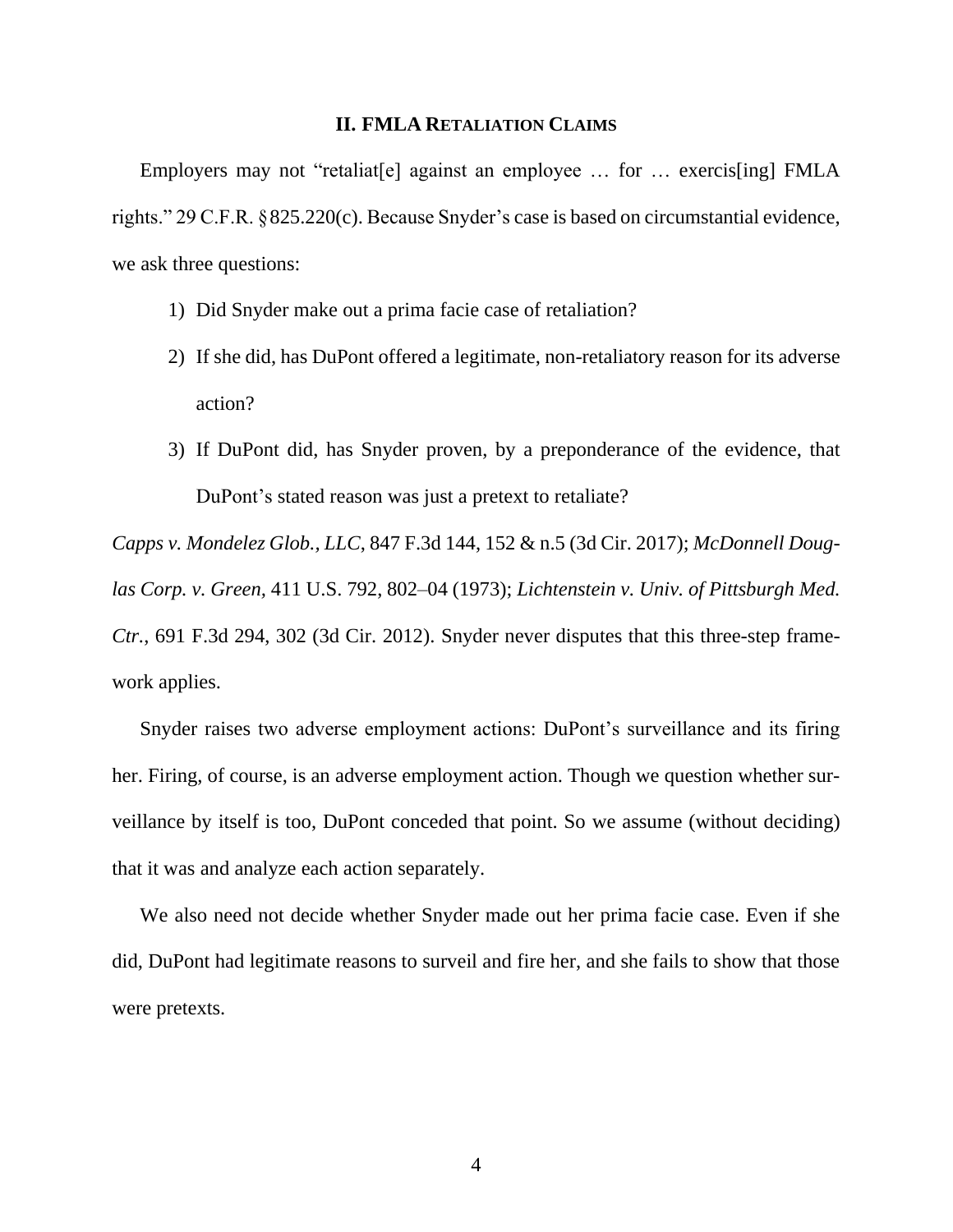## **II. FMLA RETALIATION CLAIMS**

Employers may not "retaliat [e] against an employee ... for ... exercis [ing] FMLA rights." 29 C.F.R. §825.220(c). Because Snyder's case is based on circumstantial evidence, we ask three questions:

- 1) Did Snyder make out a prima facie case of retaliation?
- 2) If she did, has DuPont offered a legitimate, non-retaliatory reason for its adverse action?
- 3) If DuPont did, has Snyder proven, by a preponderance of the evidence, that DuPont's stated reason was just a pretext to retaliate?

*Capps v. Mondelez Glob., LLC*, 847 F.3d 144, 152 & n.5 (3d Cir. 2017); *McDonnell Douglas Corp. v. Green,* 411 U.S. 792, 802–04 (1973); *Lichtenstein v. Univ. of Pittsburgh Med. Ctr.*, 691 F.3d 294, 302 (3d Cir. 2012). Snyder never disputes that this three-step framework applies.

Snyder raises two adverse employment actions: DuPont's surveillance and its firing her. Firing, of course, is an adverse employment action. Though we question whether surveillance by itself is too, DuPont conceded that point. So we assume (without deciding) that it was and analyze each action separately.

We also need not decide whether Snyder made out her prima facie case. Even if she did, DuPont had legitimate reasons to surveil and fire her, and she fails to show that those were pretexts.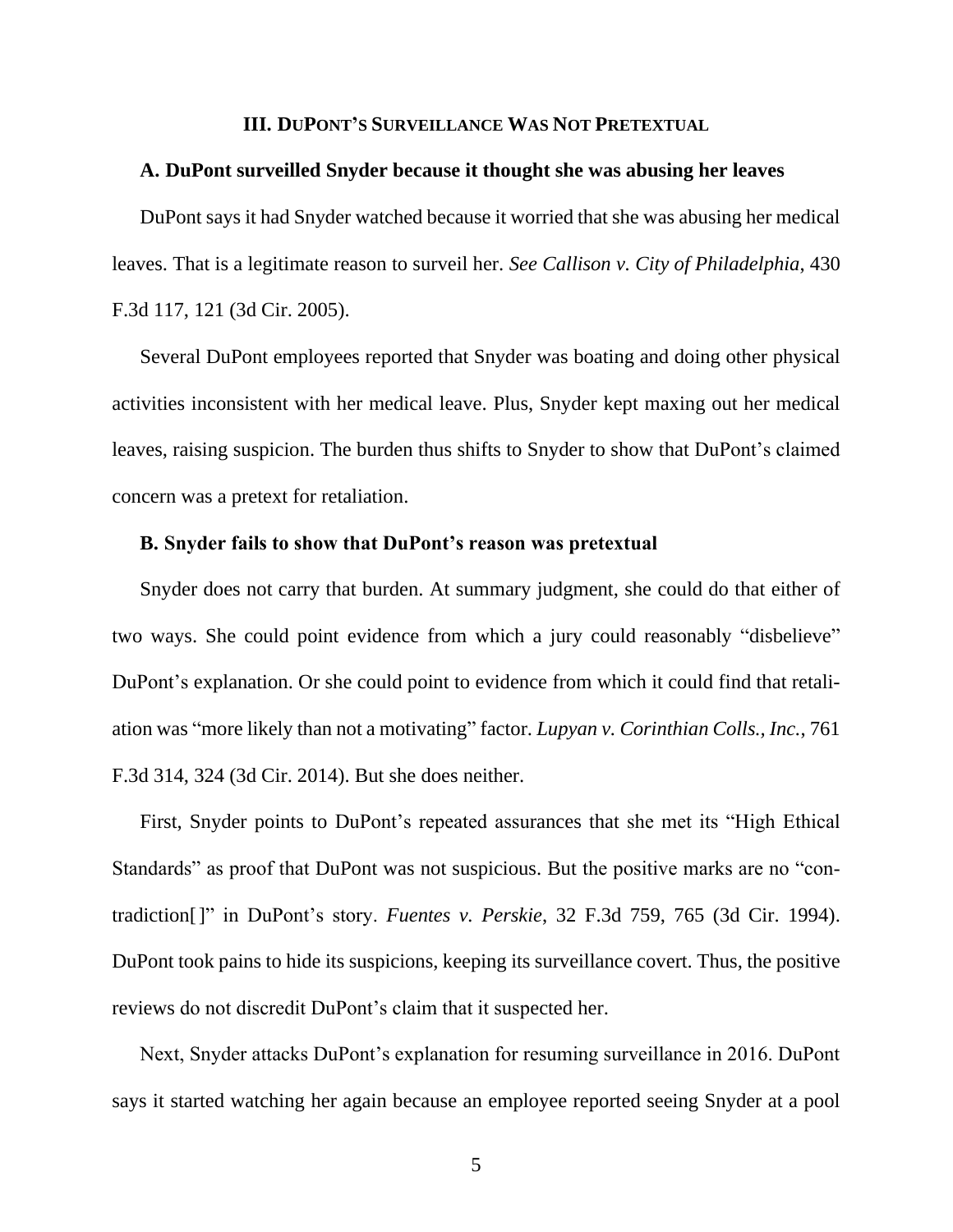#### **III. DUPONT'S SURVEILLANCE WAS NOT PRETEXTUAL**

## **A. DuPont surveilled Snyder because it thought she was abusing her leaves**

DuPont says it had Snyder watched because it worried that she was abusing her medical leaves. That is a legitimate reason to surveil her. *See Callison v. City of Philadelphia*, 430 F.3d 117, 121 (3d Cir. 2005).

Several DuPont employees reported that Snyder was boating and doing other physical activities inconsistent with her medical leave. Plus, Snyder kept maxing out her medical leaves, raising suspicion. The burden thus shifts to Snyder to show that DuPont's claimed concern was a pretext for retaliation.

#### **B. Snyder fails to show that DuPont's reason was pretextual**

Snyder does not carry that burden. At summary judgment, she could do that either of two ways. She could point evidence from which a jury could reasonably "disbelieve" DuPont's explanation. Or she could point to evidence from which it could find that retaliation was "more likely than not a motivating" factor. *Lupyan v. Corinthian Colls., Inc.*, 761 F.3d 314, 324 (3d Cir. 2014). But she does neither.

First, Snyder points to DuPont's repeated assurances that she met its "High Ethical Standards" as proof that DuPont was not suspicious. But the positive marks are no "contradiction[]" in DuPont's story. *Fuentes v. Perskie*, 32 F.3d 759, 765 (3d Cir. 1994). DuPont took pains to hide its suspicions, keeping its surveillance covert. Thus, the positive reviews do not discredit DuPont's claim that it suspected her.

Next, Snyder attacks DuPont's explanation for resuming surveillance in 2016. DuPont says it started watching her again because an employee reported seeing Snyder at a pool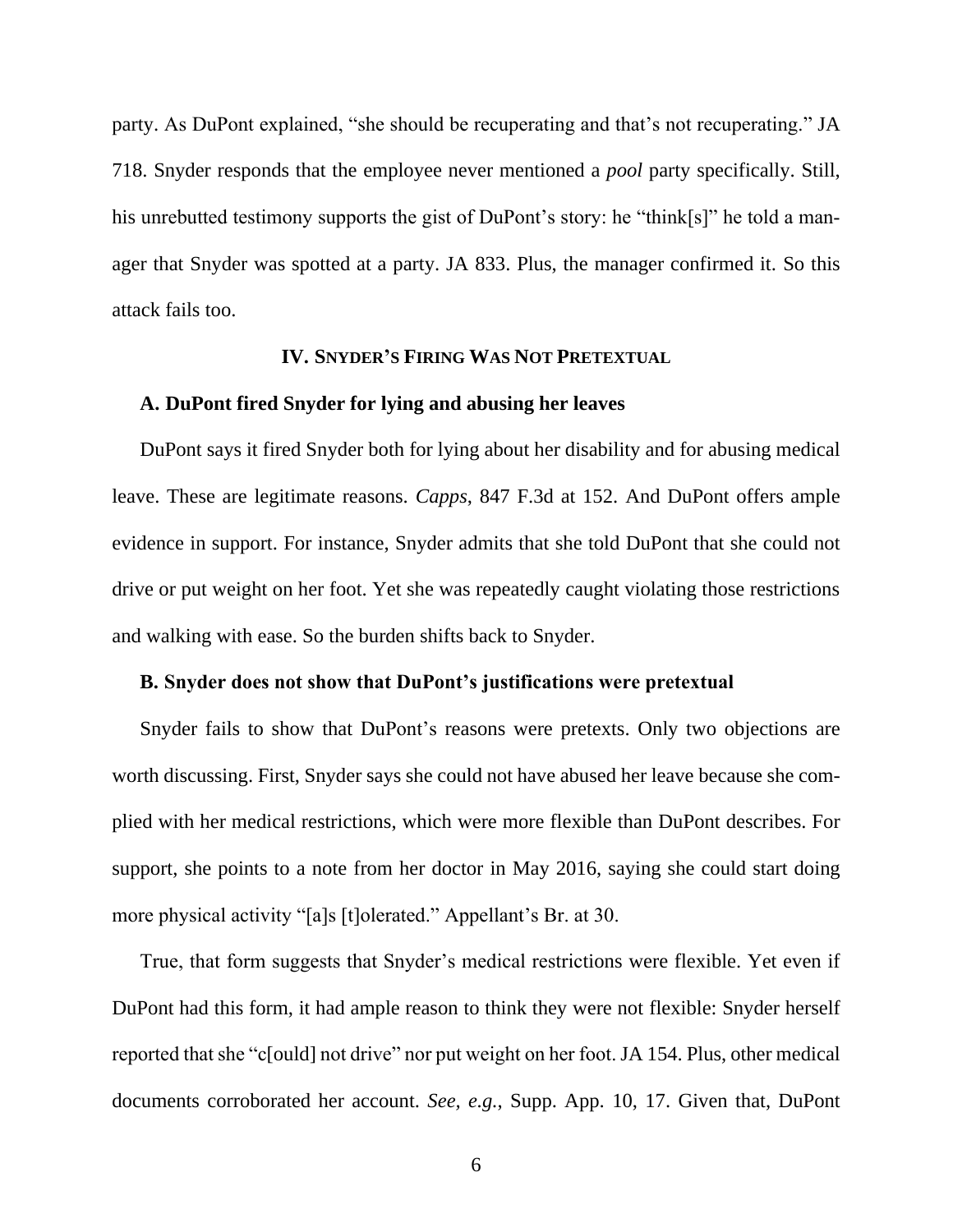party. As DuPont explained, "she should be recuperating and that's not recuperating." JA 718. Snyder responds that the employee never mentioned a *pool* party specifically. Still, his unrebutted testimony supports the gist of DuPont's story: he "think[s]" he told a manager that Snyder was spotted at a party. JA 833. Plus, the manager confirmed it. So this attack fails too.

# **IV. SNYDER'S FIRING WAS NOT PRETEXTUAL**

# **A. DuPont fired Snyder for lying and abusing her leaves**

DuPont says it fired Snyder both for lying about her disability and for abusing medical leave. These are legitimate reasons. *Capps*, 847 F.3d at 152. And DuPont offers ample evidence in support. For instance, Snyder admits that she told DuPont that she could not drive or put weight on her foot. Yet she was repeatedly caught violating those restrictions and walking with ease. So the burden shifts back to Snyder.

#### **B. Snyder does not show that DuPont's justifications were pretextual**

Snyder fails to show that DuPont's reasons were pretexts. Only two objections are worth discussing. First, Snyder says she could not have abused her leave because she complied with her medical restrictions, which were more flexible than DuPont describes. For support, she points to a note from her doctor in May 2016, saying she could start doing more physical activity "[a]s [t]olerated." Appellant's Br. at 30.

True, that form suggests that Snyder's medical restrictions were flexible. Yet even if DuPont had this form, it had ample reason to think they were not flexible: Snyder herself reported that she "c[ould] not drive" nor put weight on her foot. JA 154. Plus, other medical documents corroborated her account. *See, e.g.*, Supp. App. 10, 17. Given that, DuPont